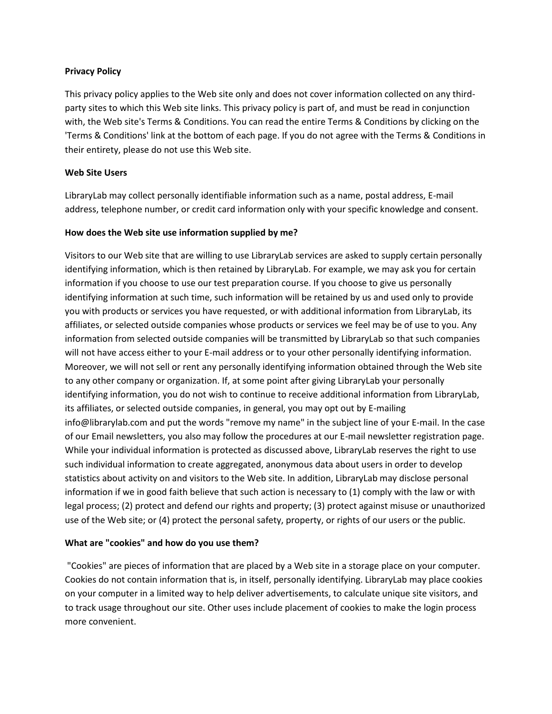# **Privacy Policy**

This privacy policy applies to the Web site only and does not cover information collected on any thirdparty sites to which this Web site links. This privacy policy is part of, and must be read in conjunction with, the Web site's Terms & Conditions. You can read the entire Terms & Conditions by clicking on the 'Terms & Conditions' link at the bottom of each page. If you do not agree with the Terms & Conditions in their entirety, please do not use this Web site.

## **Web Site Users**

LibraryLab may collect personally identifiable information such as a name, postal address, E-mail address, telephone number, or credit card information only with your specific knowledge and consent.

### **How does the Web site use information supplied by me?**

Visitors to our Web site that are willing to use LibraryLab services are asked to supply certain personally identifying information, which is then retained by LibraryLab. For example, we may ask you for certain information if you choose to use our test preparation course. If you choose to give us personally identifying information at such time, such information will be retained by us and used only to provide you with products or services you have requested, or with additional information from LibraryLab, its affiliates, or selected outside companies whose products or services we feel may be of use to you. Any information from selected outside companies will be transmitted by LibraryLab so that such companies will not have access either to your E-mail address or to your other personally identifying information. Moreover, we will not sell or rent any personally identifying information obtained through the Web site to any other company or organization. If, at some point after giving LibraryLab your personally identifying information, you do not wish to continue to receive additional information from LibraryLab, its affiliates, or selected outside companies, in general, you may opt out by E-mailing info@librarylab.com and put the words "remove my name" in the subject line of your E-mail. In the case of our Email newsletters, you also may follow the procedures at our E-mail newsletter registration page. While your individual information is protected as discussed above, LibraryLab reserves the right to use such individual information to create aggregated, anonymous data about users in order to develop statistics about activity on and visitors to the Web site. In addition, LibraryLab may disclose personal information if we in good faith believe that such action is necessary to (1) comply with the law or with legal process; (2) protect and defend our rights and property; (3) protect against misuse or unauthorized use of the Web site; or (4) protect the personal safety, property, or rights of our users or the public.

#### **What are "cookies" and how do you use them?**

"Cookies" are pieces of information that are placed by a Web site in a storage place on your computer. Cookies do not contain information that is, in itself, personally identifying. LibraryLab may place cookies on your computer in a limited way to help deliver advertisements, to calculate unique site visitors, and to track usage throughout our site. Other uses include placement of cookies to make the login process more convenient.